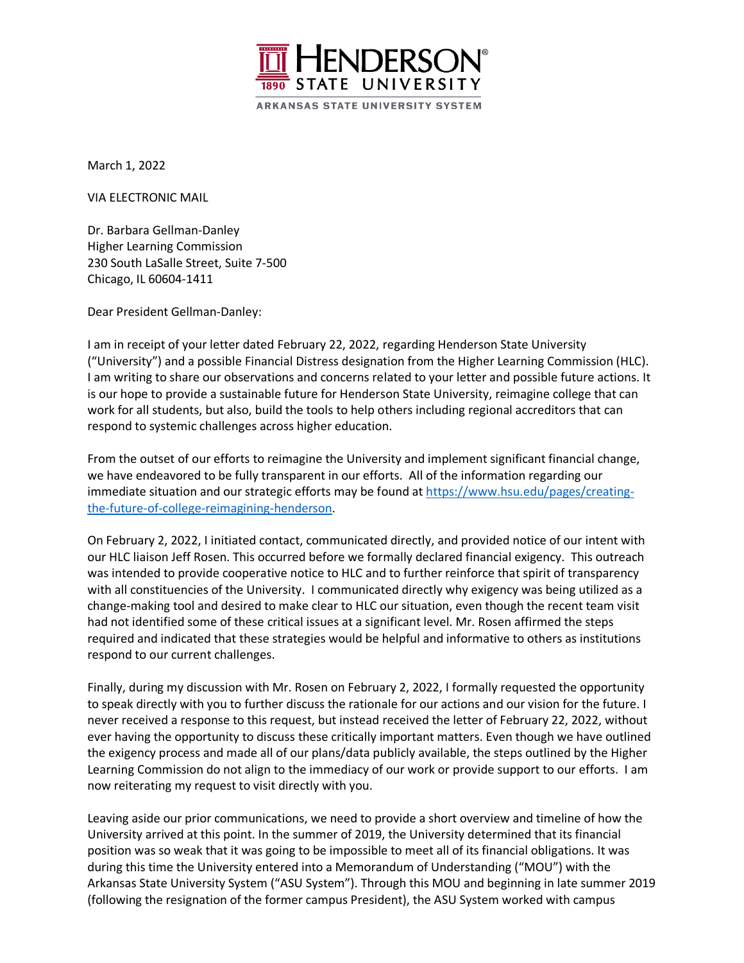

March 1, 2022

VIA ELECTRONIC MAIL

Dr. Barbara Gellman-Danley Higher Learning Commission 230 South LaSalle Street, Suite 7-500 Chicago, IL 60604-1411

Dear President Gellman-Danley:

I am in receipt of your letter dated February 22, 2022, regarding Henderson State University ("University") and a possible Financial Distress designation from the Higher Learning Commission (HLC). I am writing to share our observations and concerns related to your letter and possible future actions. It is our hope to provide a sustainable future for Henderson State University, reimagine college that can work for all students, but also, build the tools to help others including regional accreditors that can respond to systemic challenges across higher education.

From the outset of our efforts to reimagine the University and implement significant financial change, we have endeavored to be fully transparent in our efforts. All of the information regarding our immediate situation and our strategic efforts may be found at https://www.hsu.edu/pages/creatingthe-future-of-college-reimagining-henderson.

On February 2, 2022, I initiated contact, communicated directly, and provided notice of our intent with our HLC liaison Jeff Rosen. This occurred before we formally declared financial exigency. This outreach was intended to provide cooperative notice to HLC and to further reinforce that spirit of transparency with all constituencies of the University. I communicated directly why exigency was being utilized as a change-making tool and desired to make clear to HLC our situation, even though the recent team visit had not identified some of these critical issues at a significant level. Mr. Rosen affirmed the steps required and indicated that these strategies would be helpful and informative to others as institutions respond to our current challenges.

Finally, during my discussion with Mr. Rosen on February 2, 2022, I formally requested the opportunity to speak directly with you to further discuss the rationale for our actions and our vision for the future. I never received a response to this request, but instead received the letter of February 22, 2022, without ever having the opportunity to discuss these critically important matters. Even though we have outlined the exigency process and made all of our plans/data publicly available, the steps outlined by the Higher Learning Commission do not align to the immediacy of our work or provide support to our efforts. I am now reiterating my request to visit directly with you.

Leaving aside our prior communications, we need to provide a short overview and timeline of how the University arrived at this point. In the summer of 2019, the University determined that its financial position was so weak that it was going to be impossible to meet all of its financial obligations. It was during this time the University entered into a Memorandum of Understanding ("MOU") with the Arkansas State University System ("ASU System"). Through this MOU and beginning in late summer 2019 (following the resignation of the former campus President), the ASU System worked with campus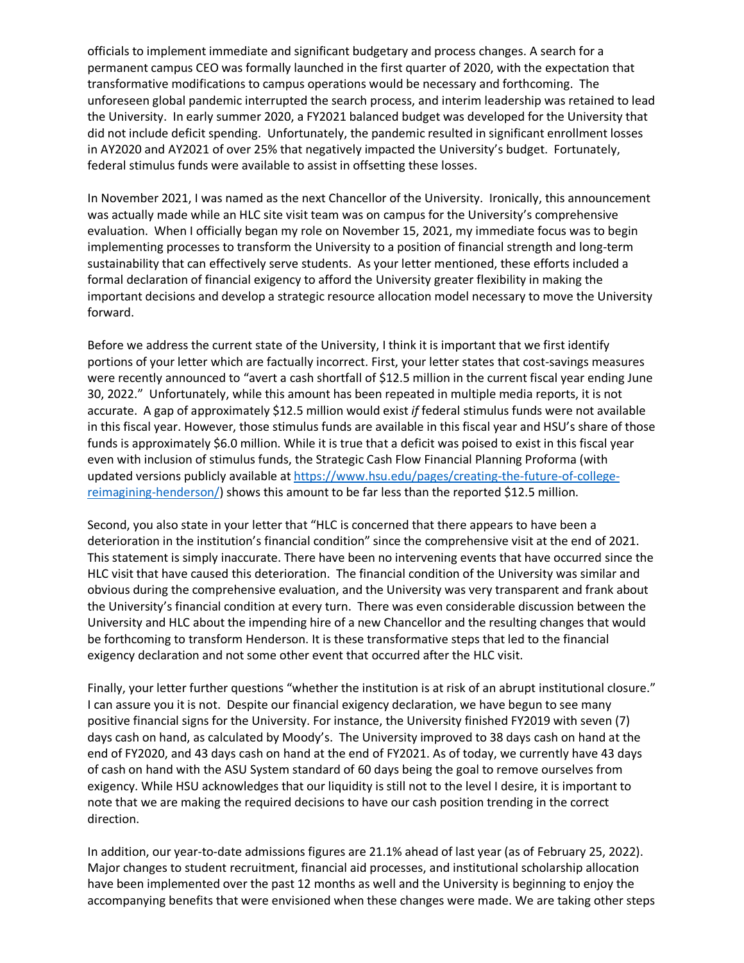officials to implement immediate and significant budgetary and process changes. A search for a permanent campus CEO was formally launched in the first quarter of 2020, with the expectation that transformative modifications to campus operations would be necessary and forthcoming. The unforeseen global pandemic interrupted the search process, and interim leadership was retained to lead the University. In early summer 2020, a FY2021 balanced budget was developed for the University that did not include deficit spending. Unfortunately, the pandemic resulted in significant enrollment losses in AY2020 and AY2021 of over 25% that negatively impacted the University's budget. Fortunately, federal stimulus funds were available to assist in offsetting these losses.

In November 2021, I was named as the next Chancellor of the University. Ironically, this announcement was actually made while an HLC site visit team was on campus for the University's comprehensive evaluation. When I officially began my role on November 15, 2021, my immediate focus was to begin implementing processes to transform the University to a position of financial strength and long-term sustainability that can effectively serve students. As your letter mentioned, these efforts included a formal declaration of financial exigency to afford the University greater flexibility in making the important decisions and develop a strategic resource allocation model necessary to move the University forward.

Before we address the current state of the University, I think it is important that we first identify portions of your letter which are factually incorrect. First, your letter states that cost-savings measures were recently announced to "avert a cash shortfall of \$12.5 million in the current fiscal year ending June 30, 2022." Unfortunately, while this amount has been repeated in multiple media reports, it is not accurate. A gap of approximately \$12.5 million would exist *if* federal stimulus funds were not available in this fiscal year. However, those stimulus funds are available in this fiscal year and HSU's share of those funds is approximately \$6.0 million. While it is true that a deficit was poised to exist in this fiscal year even with inclusion of stimulus funds, the Strategic Cash Flow Financial Planning Proforma (with updated versions publicly available at https://www.hsu.edu/pages/creating-the-future-of-collegereimagining-henderson/) shows this amount to be far less than the reported \$12.5 million.

Second, you also state in your letter that "HLC is concerned that there appears to have been a deterioration in the institution's financial condition" since the comprehensive visit at the end of 2021. This statement is simply inaccurate. There have been no intervening events that have occurred since the HLC visit that have caused this deterioration. The financial condition of the University was similar and obvious during the comprehensive evaluation, and the University was very transparent and frank about the University's financial condition at every turn. There was even considerable discussion between the University and HLC about the impending hire of a new Chancellor and the resulting changes that would be forthcoming to transform Henderson. It is these transformative steps that led to the financial exigency declaration and not some other event that occurred after the HLC visit.

Finally, your letter further questions "whether the institution is at risk of an abrupt institutional closure." I can assure you it is not. Despite our financial exigency declaration, we have begun to see many positive financial signs for the University. For instance, the University finished FY2019 with seven (7) days cash on hand, as calculated by Moody's. The University improved to 38 days cash on hand at the end of FY2020, and 43 days cash on hand at the end of FY2021. As of today, we currently have 43 days of cash on hand with the ASU System standard of 60 days being the goal to remove ourselves from exigency. While HSU acknowledges that our liquidity is still not to the level I desire, it is important to note that we are making the required decisions to have our cash position trending in the correct direction.

In addition, our year-to-date admissions figures are 21.1% ahead of last year (as of February 25, 2022). Major changes to student recruitment, financial aid processes, and institutional scholarship allocation have been implemented over the past 12 months as well and the University is beginning to enjoy the accompanying benefits that were envisioned when these changes were made. We are taking other steps